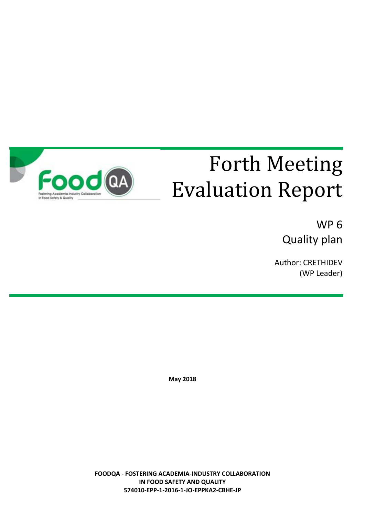

# Forth Meeting Evaluation Report

WP 6 Quality plan

Author: CRETHIDEV (WP Leader)

**May 2018**

**FOODQA - FOSTERING ACADEMIA-INDUSTRY COLLABORATION IN FOOD SAFETY AND QUALITY 574010-EPP-1-2016-1-JO-EPPKA2-CBHE-JP**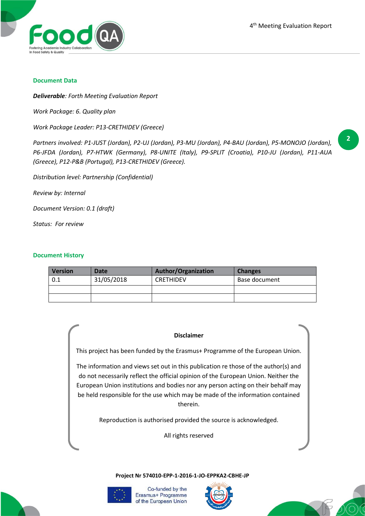**2**



#### **Document Data**

*Deliverable: Forth Meeting Evaluation Report*

*Work Package: 6. Quality plan*

*Work Package Leader: P13-CRETHIDEV (Greece)*

*Partners involved: P1-JUST (Jordan), P2-UJ (Jordan), P3-MU (Jordan), P4-BAU (Jordan), P5-MONOJO (Jordan), P6-JFDA (Jordan), P7-HTWK (Germany), P8-UNITE (Italy), P9-SPLIT (Croatia), P10-JU (Jordan), P11-AUA (Greece), P12-P&B (Portugal), P13-CRETHIDEV (Greece).*

*Distribution level: Partnership (Confidential)*

*Review by: Internal*

*Document Version: 0.1 (draft)*

*Status: For review*

## **Document History**

| Version | Date       | <b>Author/Organization</b> | <b>Changes</b> |
|---------|------------|----------------------------|----------------|
| 0.1     | 31/05/2018 | <b>CRETHIDEV</b>           | Base document  |
|         |            |                            |                |
|         |            |                            |                |

#### **Disclaimer**

This project has been funded by the Erasmus+ Programme of the European Union.

The information and views set out in this publication re those of the author(s) and do not necessarily reflect the official opinion of the European Union. Neither the European Union institutions and bodies nor any person acting on their behalf may be held responsible for the use which may be made of the information contained therein.

Reproduction is authorised provided the source is acknowledged.

All rights reserved

**Project Nr 574010-EPP-1-2016-1-JO-EPPKA2-CBHE-JP**



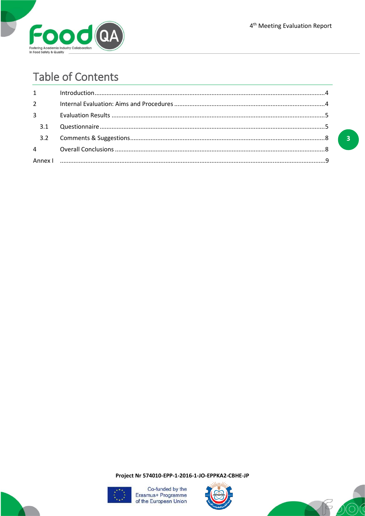

# **Table of Contents**

| $1 \quad \blacksquare$ | $\label{eq:interadd} \text{Introduction}\\$ |  |
|------------------------|---------------------------------------------|--|
| $2^{\sim}$             |                                             |  |
| $3^{\circ}$            |                                             |  |
| 3.1                    |                                             |  |
|                        |                                             |  |
|                        |                                             |  |
|                        |                                             |  |

 $\overline{\mathbf{3}}$ 

Project Nr 574010-EPP-1-2016-1-JO-EPPKA2-CBHE-JP





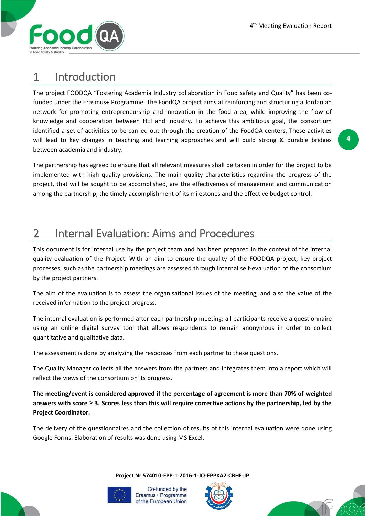

# 1 Introduction

The project FOODQA "Fostering Academia Industry collaboration in Food safety and Quality" has been cofunded under the Erasmus+ Programme. The FoodQA project aims at reinforcing and structuring a Jordanian network for promoting entrepreneurship and innovation in the food area, while improving the flow of knowledge and cooperation between HEI and industry. To achieve this ambitious goal, the consortium identified a set of activities to be carried out through the creation of the FoodQA centers. These activities will lead to key changes in teaching and learning approaches and will build strong & durable bridges between academia and industry.

The partnership has agreed to ensure that all relevant measures shall be taken in order for the project to be implemented with high quality provisions. The main quality characteristics regarding the progress of the project, that will be sought to be accomplished, are the effectiveness of management and communication among the partnership, the timely accomplishment of its milestones and the effective budget control.

# 2 Internal Evaluation: Aims and Procedures

This document is for internal use by the project team and has been prepared in the context of the internal quality evaluation of the Project. With an aim to ensure the quality of the FOODQA project, key project processes, such as the partnership meetings are assessed through internal self-evaluation of the consortium by the project partners.

The aim of the evaluation is to assess the organisational issues of the meeting, and also the value of the received information to the project progress.

The internal evaluation is performed after each partnership meeting; all participants receive a questionnaire using an online digital survey tool that allows respondents to remain anonymous in order to collect quantitative and qualitative data.

The assessment is done by analyzing the responses from each partner to these questions.

The Quality Manager collects all the answers from the partners and integrates them into a report which will reflect the views of the consortium on its progress.

**The meeting/event is considered approved if the percentage of agreement is more than 70% of weighted answers with score ≥ 3. Scores less than this will require corrective actions by the partnership, led by the Project Coordinator.**

The delivery of the questionnaires and the collection of results of this internal evaluation were done using Google Forms. Elaboration of results was done using MS Excel.

**Project Nr 574010-EPP-1-2016-1-JO-EPPKA2-CBHE-JP**





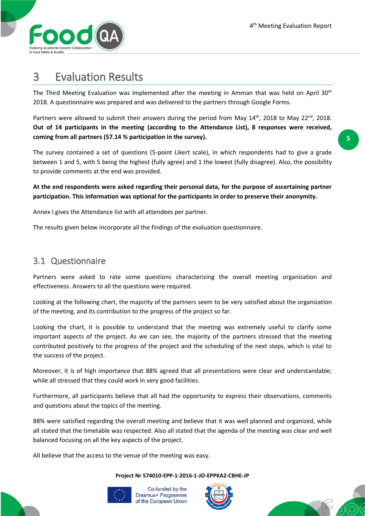

# 3 Evaluation Results

The Third Meeting Evaluation was implemented after the meeting in Amman that was held on April 30<sup>th</sup> 2018. A questionnaire was prepared and was delivered to the partners through Google Forms.

Partners were allowed to submit their answers during the period from May  $14<sup>th</sup>$ , 2018 to May 22<sup>nd</sup>, 2018. **Out of 14 participants in the meeting (according to the Attendance List), 8 responses were received, coming from all partners (57.14 % participation in the survey).**

The survey contained a set of questions (5-point Likert scale), in which respondents had to give a grade between 1 and 5, with 5 being the highest (fully agree) and 1 the lowest (fully disagree). Also, the possibility to provide comments at the end was provided.

**At the end respondents were asked regarding their personal data, for the purpose of ascertaining partner participation. This information was optional for the participants in order to preserve their anonymity.**

Annex I gives the Attendance list with all attendees per partner.

The results given below incorporate all the findings of the evaluation questionnaire.

## 3.1 Questionnaire

Partners were asked to rate some questions characterizing the overall meeting organization and effectiveness. Answers to all the questions were required.

Looking at the following chart, the majority of the partners seem to be very satisfied about the organization of the meeting, and its contribution to the progress of the project so far.

Looking the chart, it is possible to understand that the meeting was extremely useful to clarify some important aspects of the project. As we can see, the majority of the partners stressed that the meeting contributed positively to the progress of the project and the scheduling of the next steps, which is vital to the success of the project.

Moreover, it is of high importance that 88% agreed that all presentations were clear and understandable; while all stressed that they could work in very good facilities.

Furthermore, all participants believe that all had the opportunity to express their observations, comments and questions about the topics of the meeting.

88% were satisfied regarding the overall meeting and believe that it was well planned and organized, while all stated that the timetable was respected. Also all stated that the agenda of the meeting was clear and well balanced focusing on all the key aspects of the project.

All believe that the access to the venue of the meeting was easy.

## **Project Nr 574010-EPP-1-2016-1-JO-EPPKA2-CBHE-JP**





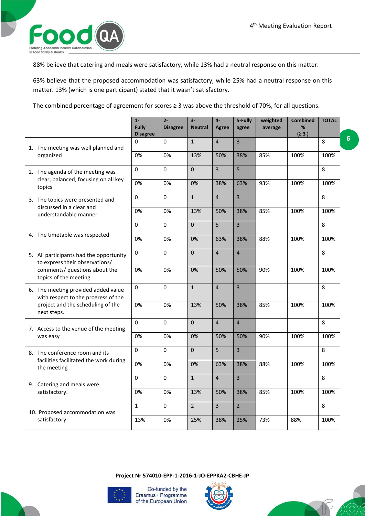**6**



88% believe that catering and meals were satisfactory, while 13% had a neutral response on this matter.

63% believe that the proposed accommodation was satisfactory, while 25% had a neutral response on this matter. 13% (which is one participant) stated that it wasn't satisfactory.

The combined percentage of agreement for scores ≥ 3 was above the threshold of 70%, for all questions.

|                                                                            | $1 -$<br>Fully<br><b>Disagree</b> | $2 -$<br><b>Disagree</b> | $3-$<br><b>Neutral</b> | $4-$<br>Agree  | 5-Fully<br>agree | weighted<br>average | <b>Combined</b><br>%<br>(≥ 3) | <b>TOTAL</b> |
|----------------------------------------------------------------------------|-----------------------------------|--------------------------|------------------------|----------------|------------------|---------------------|-------------------------------|--------------|
| 1. The meeting was well planned and                                        | 0                                 | $\Omega$                 | $\mathbf{1}$           | $\overline{4}$ | $\overline{3}$   |                     |                               | 8            |
| organized                                                                  | 0%                                | 0%                       | 13%                    | 50%            | 38%              | 85%                 | 100%                          | 100%         |
| 2. The agenda of the meeting was                                           | 0                                 | 0                        | $\mathbf 0$            | $\overline{3}$ | 5                |                     |                               | 8            |
| clear, balanced, focusing on all key<br>topics                             | 0%                                | 0%                       | 0%                     | 38%            | 63%              | 93%                 | 100%                          | 100%         |
| 3. The topics were presented and                                           | 0                                 | 0                        | $\mathbf{1}$           | $\overline{4}$ | $\overline{3}$   |                     |                               | 8            |
| discussed in a clear and<br>understandable manner                          | 0%                                | 0%                       | 13%                    | 50%            | 38%              | 85%                 | 100%                          | 100%         |
|                                                                            | $\Omega$                          | $\Omega$                 | $\Omega$               | 5              | $\overline{3}$   |                     |                               | 8            |
| 4. The timetable was respected                                             | 0%                                | 0%                       | 0%                     | 63%            | 38%              | 88%                 | 100%                          | 100%         |
| 5. All participants had the opportunity<br>to express their observations/  | 0                                 | 0                        | $\Omega$               | $\overline{4}$ | $\overline{4}$   |                     |                               | 8            |
| comments/ questions about the<br>topics of the meeting.                    | 0%                                | 0%                       | 0%                     | 50%            | 50%              | 90%                 | 100%                          | 100%         |
| 6. The meeting provided added value<br>with respect to the progress of the | 0                                 | $\Omega$                 | $\mathbf{1}$           | $\overline{4}$ | $\overline{3}$   |                     |                               | 8            |
| project and the scheduling of the<br>next steps.                           | 0%                                | 0%                       | 13%                    | 50%            | 38%              | 85%                 | 100%                          | 100%         |
| 7. Access to the venue of the meeting                                      | 0                                 | $\Omega$                 | $\Omega$               | $\overline{4}$ | $\overline{4}$   |                     |                               | 8            |
| was easy                                                                   | 0%                                | 0%                       | 0%                     | 50%            | 50%              | 90%                 | 100%                          | 100%         |
| 8. The conference room and its                                             | 0                                 | $\Omega$                 | $\Omega$               | 5              | $\overline{3}$   |                     |                               | 8            |
| facilities facilitated the work during<br>the meeting                      | 0%                                | 0%                       | 0%                     | 63%            | 38%              | 88%                 | 100%                          | 100%         |
| 9. Catering and meals were                                                 | $\mathbf 0$                       | $\mathbf 0$              | $\mathbf{1}$           | $\overline{4}$ | $\overline{3}$   |                     |                               | 8            |
| satisfactory.                                                              | 0%                                | 0%                       | 13%                    | 50%            | 38%              | 85%                 | 100%                          | 100%         |
| 10. Proposed accommodation was                                             | $\mathbf{1}$                      | 0                        | $\overline{2}$         | 3              | $2^{\circ}$      |                     |                               | 8            |
| satisfactory.                                                              | 13%                               | 0%                       | 25%                    | 38%            | 25%              | 73%                 | 88%                           | 100%         |

**Project Nr 574010-EPP-1-2016-1-JO-EPPKA2-CBHE-JP**



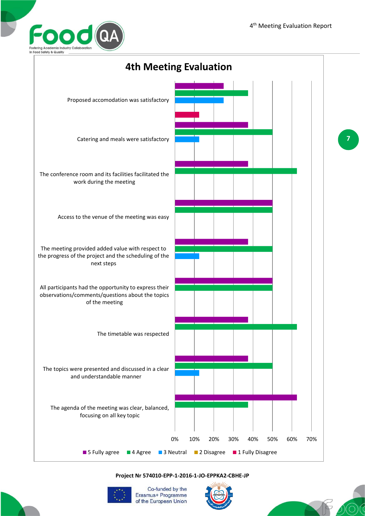



## **Project Nr 574010-EPP-1-2016-1-JO-EPPKA2-CBHE-JP**



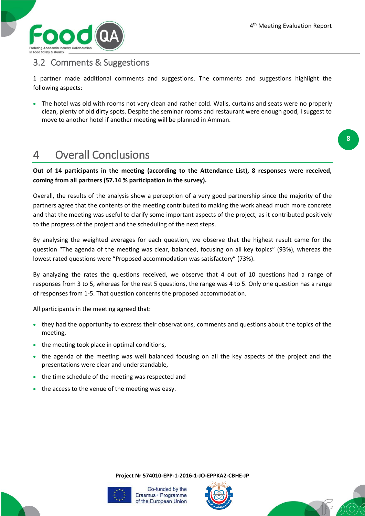

## 3.2 Comments & Suggestions

1 partner made additional comments and suggestions. The comments and suggestions highlight the following aspects:

• The hotel was old with rooms not very clean and rather cold. Walls, curtains and seats were no properly clean, plenty of old dirty spots. Despite the seminar rooms and restaurant were enough good, I suggest to move to another hotel if another meeting will be planned in Amman.

# 4 Overall Conclusions

**Out of 14 participants in the meeting (according to the Attendance List), 8 responses were received, coming from all partners (57.14 % participation in the survey).**

Overall, the results of the analysis show a perception of a very good partnership since the majority of the partners agree that the contents of the meeting contributed to making the work ahead much more concrete and that the meeting was useful to clarify some important aspects of the project, as it contributed positively to the progress of the project and the scheduling of the next steps.

By analysing the weighted averages for each question, we observe that the highest result came for the question "The agenda of the meeting was clear, balanced, focusing on all key topics" (93%), whereas the lowest rated questions were "Proposed accommodation was satisfactory" (73%).

By analyzing the rates the questions received, we observe that 4 out of 10 questions had a range of responses from 3 to 5, whereas for the rest 5 questions, the range was 4 to 5. Only one question has a range of responses from 1-5. That question concerns the proposed accommodation.

All participants in the meeting agreed that:

- they had the opportunity to express their observations, comments and questions about the topics of the meeting,
- the meeting took place in optimal conditions,
- the agenda of the meeting was well balanced focusing on all the key aspects of the project and the presentations were clear and understandable,
- the time schedule of the meeting was respected and
- the access to the venue of the meeting was easy.

**Project Nr 574010-EPP-1-2016-1-JO-EPPKA2-CBHE-JP**







**8**